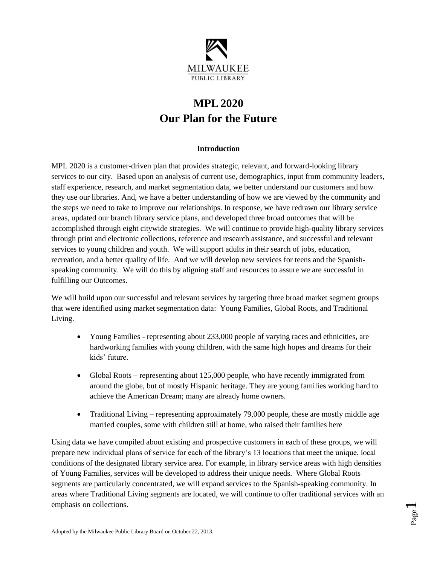

# **MPL2020 Our Plan for the Future**

### **Introduction**

MPL 2020 is a customer-driven plan that provides strategic, relevant, and forward-looking library services to our city. Based upon an analysis of current use, demographics, input from community leaders, staff experience, research, and market segmentation data, we better understand our customers and how they use our libraries. And, we have a better understanding of how we are viewed by the community and the steps we need to take to improve our relationships. In response, we have redrawn our library service areas, updated our branch library service plans, and developed three broad outcomes that will be accomplished through eight citywide strategies. We will continue to provide high-quality library services through print and electronic collections, reference and research assistance, and successful and relevant services to young children and youth. We will support adults in their search of jobs, education, recreation, and a better quality of life. And we will develop new services for teens and the Spanishspeaking community. We will do this by aligning staff and resources to assure we are successful in fulfilling our Outcomes.

We will build upon our successful and relevant services by targeting three broad market segment groups that were identified using market segmentation data: Young Families, Global Roots, and Traditional Living.

- Young Families representing about 233,000 people of varying races and ethnicities, are hardworking families with young children, with the same high hopes and dreams for their kids' future.
- Global Roots representing about 125,000 people, who have recently immigrated from around the globe, but of mostly Hispanic heritage. They are young families working hard to achieve the American Dream; many are already home owners.
- Traditional Living representing approximately 79,000 people, these are mostly middle age married couples, some with children still at home, who raised their families here

Using data we have compiled about existing and prospective customers in each of these groups, we will prepare new individual plans of service for each of the library's 13 locations that meet the unique, local conditions of the designated library service area. For example, in library service areas with high densities of Young Families, services will be developed to address their unique needs. Where Global Roots segments are particularly concentrated, we will expand services to the Spanish-speaking community. In areas where Traditional Living segments are located, we will continue to offer traditional services with an emphasis on collections.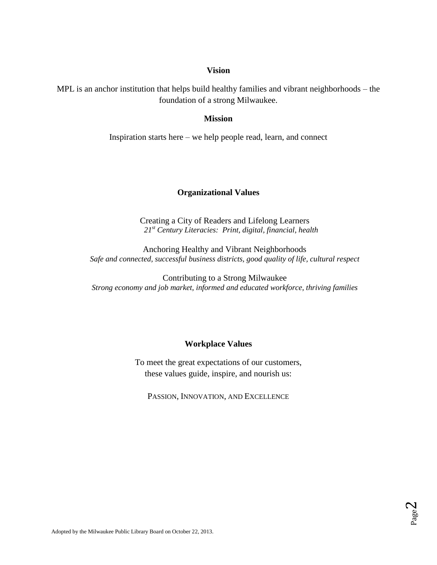### **Vision**

MPL is an anchor institution that helps build healthy families and vibrant neighborhoods – the foundation of a strong Milwaukee.

### **Mission**

Inspiration starts here – we help people read, learn, and connect

## **Organizational Values**

Creating a City of Readers and Lifelong Learners *21st Century Literacies: Print, digital, financial, health*

Anchoring Healthy and Vibrant Neighborhoods *Safe and connected, successful business districts, good quality of life, cultural respect*

Contributing to a Strong Milwaukee *Strong economy and job market, informed and educated workforce, thriving families*

### **Workplace Values**

To meet the great expectations of our customers, these values guide, inspire, and nourish us:

PASSION, INNOVATION, AND EXCELLENCE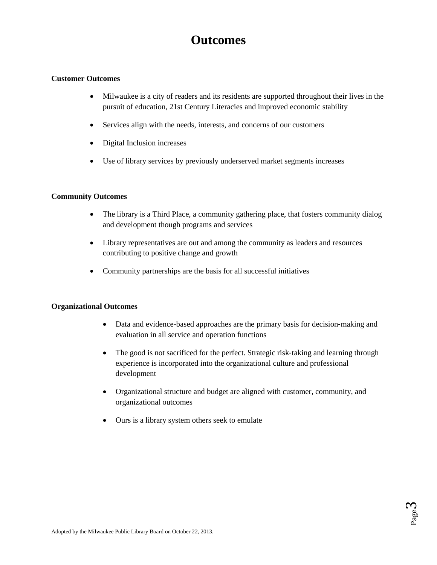# **Outcomes**

### **Customer Outcomes**

- Milwaukee is a city of readers and its residents are supported throughout their lives in the pursuit of education, 21st Century Literacies and improved economic stability
- Services align with the needs, interests, and concerns of our customers
- Digital Inclusion increases
- Use of library services by previously underserved market segments increases

### **Community Outcomes**

- The library is a Third Place, a community gathering place, that fosters community dialog and development though programs and services
- Library representatives are out and among the community as leaders and resources contributing to positive change and growth
- Community partnerships are the basis for all successful initiatives

#### **Organizational Outcomes**

- Data and evidence-based approaches are the primary basis for decision-making and evaluation in all service and operation functions
- The good is not sacrificed for the perfect. Strategic risk-taking and learning through experience is incorporated into the organizational culture and professional development
- Organizational structure and budget are aligned with customer, community, and organizational outcomes
- Ours is a library system others seek to emulate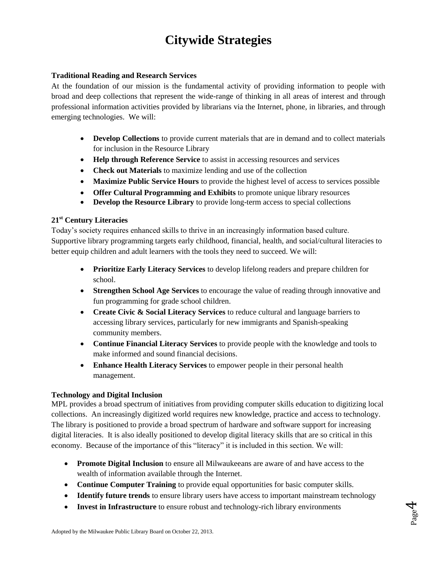# **Citywide Strategies**

### **Traditional Reading and Research Services**

At the foundation of our mission is the fundamental activity of providing information to people with broad and deep collections that represent the wide-range of thinking in all areas of interest and through professional information activities provided by librarians via the Internet, phone, in libraries, and through emerging technologies. We will:

- **Develop Collections** to provide current materials that are in demand and to collect materials for inclusion in the Resource Library
- **Help through Reference Service** to assist in accessing resources and services
- **Check out Materials** to maximize lending and use of the collection
- **Maximize Public Service Hours** to provide the highest level of access to services possible
- **Offer Cultural Programming and Exhibits** to promote unique library resources
- **Develop the Resource Library** to provide long-term access to special collections

# **21st Century Literacies**

Today's society requires enhanced skills to thrive in an increasingly information based culture. Supportive library programming targets early childhood, financial, health, and social/cultural literacies to better equip children and adult learners with the tools they need to succeed. We will:

- **Prioritize Early Literacy Services** to develop lifelong readers and prepare children for school.
- **Strengthen School Age Services** to encourage the value of reading through innovative and fun programming for grade school children.
- **Create Civic & Social Literacy Services** to reduce cultural and language barriers to accessing library services, particularly for new immigrants and Spanish-speaking community members.
- **Continue Financial Literacy Services** to provide people with the knowledge and tools to make informed and sound financial decisions.
- **Enhance Health Literacy Services** to empower people in their personal health management.

### **Technology and Digital Inclusion**

MPL provides a broad spectrum of initiatives from providing computer skills education to digitizing local collections. An increasingly digitized world requires new knowledge, practice and access to technology. The library is positioned to provide a broad spectrum of hardware and software support for increasing digital literacies. It is also ideally positioned to develop digital literacy skills that are so critical in this economy. Because of the importance of this "literacy" it is included in this section. We will:

- **Promote Digital Inclusion** to ensure all Milwaukeeans are aware of and have access to the wealth of information available through the Internet.
- **Continue Computer Training** to provide equal opportunities for basic computer skills.
- **Identify future trends** to ensure library users have access to important mainstream technology
- **Invest in Infrastructure** to ensure robust and technology-rich library environments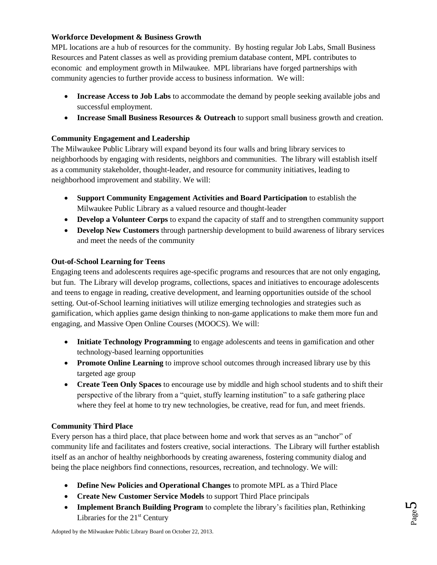## **Workforce Development & Business Growth**

MPL locations are a hub of resources for the community. By hosting regular Job Labs, Small Business Resources and Patent classes as well as providing premium database content, MPL contributes to economic and employment growth in Milwaukee. MPL librarians have forged partnerships with community agencies to further provide access to business information. We will:

- **Increase Access to Job Labs** to accommodate the demand by people seeking available jobs and successful employment.
- **Increase Small Business Resources & Outreach** to support small business growth and creation.

# **Community Engagement and Leadership**

The Milwaukee Public Library will expand beyond its four walls and bring library services to neighborhoods by engaging with residents, neighbors and communities. The library will establish itself as a community stakeholder, thought-leader, and resource for community initiatives, leading to neighborhood improvement and stability. We will:

- **Support Community Engagement Activities and Board Participation** to establish the Milwaukee Public Library as a valued resource and thought-leader
- **Develop a Volunteer Corps** to expand the capacity of staff and to strengthen community support
- **Develop New Customers** through partnership development to build awareness of library services and meet the needs of the community

## **Out-of-School Learning for Teens**

Engaging teens and adolescents requires age-specific programs and resources that are not only engaging, but fun. The Library will develop programs, collections, spaces and initiatives to encourage adolescents and teens to engage in reading, creative development, and learning opportunities outside of the school setting. Out-of-School learning initiatives will utilize emerging technologies and strategies such as gamification, which applies game design thinking to non-game applications to make them more fun and engaging, and Massive Open Online Courses (MOOCS). We will:

- **Initiate Technology Programming** to engage adolescents and teens in gamification and other technology-based learning opportunities
- **Promote Online Learning** to improve school outcomes through increased library use by this targeted age group
- **Create Teen Only Spaces** to encourage use by middle and high school students and to shift their perspective of the library from a "quiet, stuffy learning institution" to a safe gathering place where they feel at home to try new technologies, be creative, read for fun, and meet friends.

# **Community Third Place**

Every person has a third place, that place between home and work that serves as an "anchor" of community life and facilitates and fosters creative, social interactions. The Library will further establish itself as an anchor of healthy neighborhoods by creating awareness, fostering community dialog and being the place neighbors find connections, resources, recreation, and technology. We will:

- **Define New Policies and Operational Changes** to promote MPL as a Third Place
- **Create New Customer Service Models** to support Third Place principals
- **Implement Branch Building Program** to complete the library's facilities plan, Rethinking Libraries for the  $21<sup>st</sup>$  Century